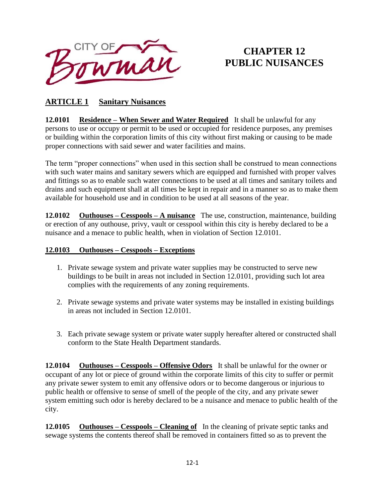

# **CHAPTER 12 PUBLIC NUISANCES**

### **ARTICLE 1 Sanitary Nuisances**

**12.0101 Residence – When Sewer and Water Required** It shall be unlawful for any persons to use or occupy or permit to be used or occupied for residence purposes, any premises or building within the corporation limits of this city without first making or causing to be made proper connections with said sewer and water facilities and mains.

The term "proper connections" when used in this section shall be construed to mean connections with such water mains and sanitary sewers which are equipped and furnished with proper valves and fittings so as to enable such water connections to be used at all times and sanitary toilets and drains and such equipment shall at all times be kept in repair and in a manner so as to make them available for household use and in condition to be used at all seasons of the year.

**12.0102 Outhouses – Cesspools – A nuisance** The use, construction, maintenance, building or erection of any outhouse, privy, vault or cesspool within this city is hereby declared to be a nuisance and a menace to public health, when in violation of Section 12.0101.

#### **12.0103 Outhouses – Cesspools – Exceptions**

- 1. Private sewage system and private water supplies may be constructed to serve new buildings to be built in areas not included in Section 12.0101, providing such lot area complies with the requirements of any zoning requirements.
- 2. Private sewage systems and private water systems may be installed in existing buildings in areas not included in Section 12.0101.
- 3. Each private sewage system or private water supply hereafter altered or constructed shall conform to the State Health Department standards.

**12.0104 Outhouses – Cesspools – Offensive Odors** It shall be unlawful for the owner or occupant of any lot or piece of ground within the corporate limits of this city to suffer or permit any private sewer system to emit any offensive odors or to become dangerous or injurious to public health or offensive to sense of smell of the people of the city, and any private sewer system emitting such odor is hereby declared to be a nuisance and menace to public health of the city.

**12.0105** Outhouses – Cesspools – Cleaning of In the cleaning of private septic tanks and sewage systems the contents thereof shall be removed in containers fitted so as to prevent the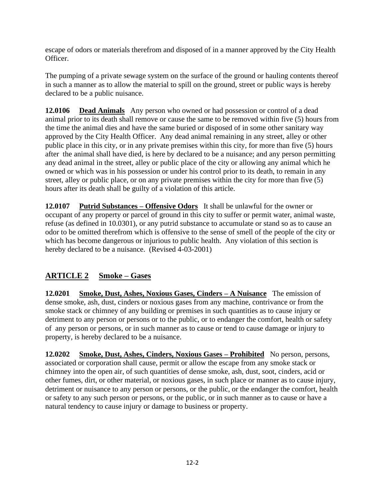escape of odors or materials therefrom and disposed of in a manner approved by the City Health Officer.

The pumping of a private sewage system on the surface of the ground or hauling contents thereof in such a manner as to allow the material to spill on the ground, street or public ways is hereby declared to be a public nuisance.

**12.0106 Dead Animals** Any person who owned or had possession or control of a dead animal prior to its death shall remove or cause the same to be removed within five (5) hours from the time the animal dies and have the same buried or disposed of in some other sanitary way approved by the City Health Officer. Any dead animal remaining in any street, alley or other public place in this city, or in any private premises within this city, for more than five (5) hours after the animal shall have died, is here by declared to be a nuisance; and any person permitting any dead animal in the street, alley or public place of the city or allowing any animal which he owned or which was in his possession or under his control prior to its death, to remain in any street, alley or public place, or on any private premises within the city for more than five (5) hours after its death shall be guilty of a violation of this article.

**12.0107 Putrid Substances – Offensive Odors** It shall be unlawful for the owner or occupant of any property or parcel of ground in this city to suffer or permit water, animal waste, refuse (as defined in 10.0301), or any putrid substance to accumulate or stand so as to cause an odor to be omitted therefrom which is offensive to the sense of smell of the people of the city or which has become dangerous or injurious to public health. Any violation of this section is hereby declared to be a nuisance. (Revised 4-03-2001)

### **ARTICLE 2 Smoke – Gases**

**12.0201 Smoke, Dust, Ashes, Noxious Gases, Cinders – A Nuisance** The emission of dense smoke, ash, dust, cinders or noxious gases from any machine, contrivance or from the smoke stack or chimney of any building or premises in such quantities as to cause injury or detriment to any person or persons or to the public, or to endanger the comfort, health or safety of any person or persons, or in such manner as to cause or tend to cause damage or injury to property, is hereby declared to be a nuisance.

**12.0202 Smoke, Dust, Ashes, Cinders, Noxious Gases – Prohibited** No person, persons, associated or corporation shall cause, permit or allow the escape from any smoke stack or chimney into the open air, of such quantities of dense smoke, ash, dust, soot, cinders, acid or other fumes, dirt, or other material, or noxious gases, in such place or manner as to cause injury, detriment or nuisance to any person or persons, or the public, or the endanger the comfort, health or safety to any such person or persons, or the public, or in such manner as to cause or have a natural tendency to cause injury or damage to business or property.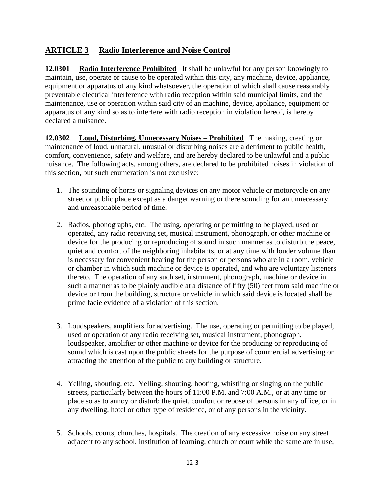### **ARTICLE 3 Radio Interference and Noise Control**

**12.0301 Radio Interference Prohibited** It shall be unlawful for any person knowingly to maintain, use, operate or cause to be operated within this city, any machine, device, appliance, equipment or apparatus of any kind whatsoever, the operation of which shall cause reasonably preventable electrical interference with radio reception within said municipal limits, and the maintenance, use or operation within said city of an machine, device, appliance, equipment or apparatus of any kind so as to interfere with radio reception in violation hereof, is hereby declared a nuisance.

**12.0302 Loud, Disturbing, Unnecessary Noises – Prohibited** The making, creating or maintenance of loud, unnatural, unusual or disturbing noises are a detriment to public health, comfort, convenience, safety and welfare, and are hereby declared to be unlawful and a public nuisance. The following acts, among others, are declared to be prohibited noises in violation of this section, but such enumeration is not exclusive:

- 1. The sounding of horns or signaling devices on any motor vehicle or motorcycle on any street or public place except as a danger warning or there sounding for an unnecessary and unreasonable period of time.
- 2. Radios, phonographs, etc. The using, operating or permitting to be played, used or operated, any radio receiving set, musical instrument, phonograph, or other machine or device for the producing or reproducing of sound in such manner as to disturb the peace, quiet and comfort of the neighboring inhabitants, or at any time with louder volume than is necessary for convenient hearing for the person or persons who are in a room, vehicle or chamber in which such machine or device is operated, and who are voluntary listeners thereto. The operation of any such set, instrument, phonograph, machine or device in such a manner as to be plainly audible at a distance of fifty (50) feet from said machine or device or from the building, structure or vehicle in which said device is located shall be prime facie evidence of a violation of this section.
- 3. Loudspeakers, amplifiers for advertising. The use, operating or permitting to be played, used or operation of any radio receiving set, musical instrument, phonograph, loudspeaker, amplifier or other machine or device for the producing or reproducing of sound which is cast upon the public streets for the purpose of commercial advertising or attracting the attention of the public to any building or structure.
- 4. Yelling, shouting, etc. Yelling, shouting, hooting, whistling or singing on the public streets, particularly between the hours of 11:00 P.M. and 7:00 A.M., or at any time or place so as to annoy or disturb the quiet, comfort or repose of persons in any office, or in any dwelling, hotel or other type of residence, or of any persons in the vicinity.
- 5. Schools, courts, churches, hospitals. The creation of any excessive noise on any street adjacent to any school, institution of learning, church or court while the same are in use,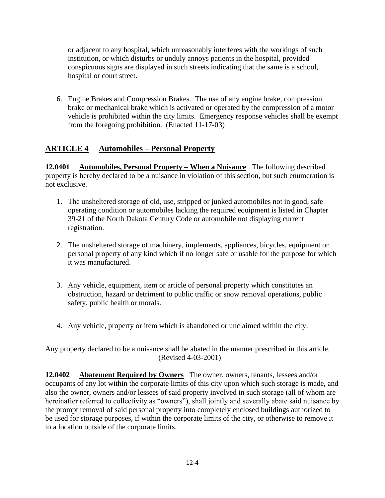or adjacent to any hospital, which unreasonably interferes with the workings of such institution, or which disturbs or unduly annoys patients in the hospital, provided conspicuous signs are displayed in such streets indicating that the same is a school, hospital or court street.

6. Engine Brakes and Compression Brakes. The use of any engine brake, compression brake or mechanical brake which is activated or operated by the compression of a motor vehicle is prohibited within the city limits. Emergency response vehicles shall be exempt from the foregoing prohibition. (Enacted 11-17-03)

#### **ARTICLE 4 Automobiles – Personal Property**

**12.0401 Automobiles, Personal Property – When a Nuisance** The following described property is hereby declared to be a nuisance in violation of this section, but such enumeration is not exclusive.

- 1. The unsheltered storage of old, use, stripped or junked automobiles not in good, safe operating condition or automobiles lacking the required equipment is listed in Chapter 39-21 of the North Dakota Century Code or automobile not displaying current registration.
- 2. The unsheltered storage of machinery, implements, appliances, bicycles, equipment or personal property of any kind which if no longer safe or usable for the purpose for which it was manufactured.
- 3. Any vehicle, equipment, item or article of personal property which constitutes an obstruction, hazard or detriment to public traffic or snow removal operations, public safety, public health or morals.
- 4. Any vehicle, property or item which is abandoned or unclaimed within the city.

Any property declared to be a nuisance shall be abated in the manner prescribed in this article. (Revised 4-03-2001)

**12.0402 Abatement Required by Owners** The owner, owners, tenants, lessees and/or occupants of any lot within the corporate limits of this city upon which such storage is made, and also the owner, owners and/or lessees of said property involved in such storage (all of whom are hereinafter referred to collectivity as "owners"), shall jointly and severally abate said nuisance by the prompt removal of said personal property into completely enclosed buildings authorized to be used for storage purposes, if within the corporate limits of the city, or otherwise to remove it to a location outside of the corporate limits.